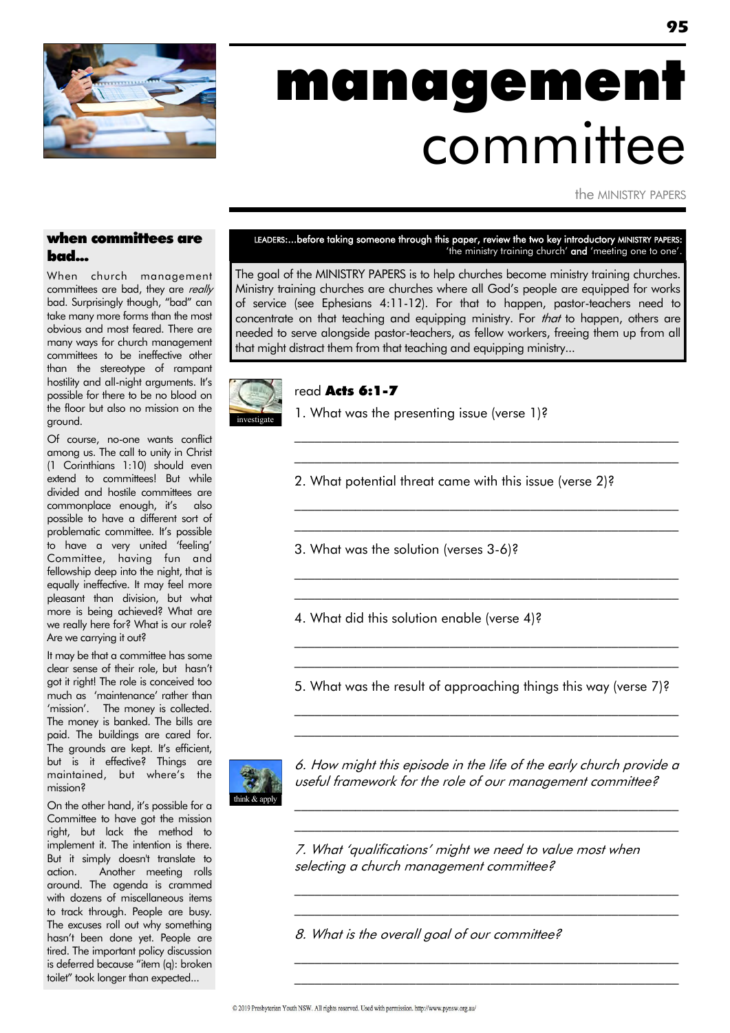

# management committee

the MINISTRY PAPERS

### when committees are bad...

When church management committees are bad, they are really bad. Surprisingly though, "bad" can take many more forms than the most obvious and most feared. There are many ways for church management committees to be ineffective other than the stereotype of rampant hostility and all-night arguments. It's possible for there to be no blood on the floor but also no mission on the ground.

Of course, no-one wants conflict among us. The call to unity in Christ (1 Corinthians 1:10) should even extend to committees! But while divided and hostile committees are commonplace enough, it's also possible to have a different sort of problematic committee. It's possible to have a very united "feeling" Committee, having fun and fellowship deep into the night, that is equally ineffective. It may feel more pleasant than division, but what more is being achieved? What are we really here for? What is our role? Are we carrying it out?

It may be that a committee has some clear sense of their role, but hasn"t got it right! The role is conceived too much as "maintenance" rather than 'mission'. The money is collected. The money is banked. The bills are paid. The buildings are cared for. The grounds are kept. It's efficient, but is it effective? Things are maintained, but where's the mission?

On the other hand, it"s possible for a Committee to have got the mission right, but lack the method to implement it. The intention is there. But it simply doesn't translate to action. Another meeting rolls around. The agenda is crammed with dozens of miscellaneous items to track through. People are busy. The excuses roll out why something hasn"t been done yet. People are tired. The important policy discussion is deferred because "item (q): broken toilet" took longer than expected...

LEADERS:...before taking someone through this paper, review the two key introductory MINISTRY PAPERS: 'the ministry training church' and 'meeting one to one'.

The goal of the MINISTRY PAPERS is to help churches become ministry training churches. Ministry training churches are churches where all God"s people are equipped for works of service (see Ephesians 4:11-12). For that to happen, pastor-teachers need to concentrate on that teaching and equipping ministry. For *that* to happen, others are needed to serve alongside pastor-teachers, as fellow workers, freeing them up from all that might distract them from that teaching and equipping ministry...



#### read Acts 6:1-7

1. What was the presenting issue (verse 1)?

2. What potential threat came with this issue (verse 2)?

\_\_\_\_\_\_\_\_\_\_\_\_\_\_\_\_\_\_\_\_\_\_\_\_\_\_\_\_\_\_\_\_\_\_\_\_\_\_\_\_\_\_\_\_\_\_\_\_\_\_\_\_\_\_\_\_\_ \_\_\_\_\_\_\_\_\_\_\_\_\_\_\_\_\_\_\_\_\_\_\_\_\_\_\_\_\_\_\_\_\_\_\_\_\_\_\_\_\_\_\_\_\_\_\_\_\_\_\_\_\_\_\_\_\_

 $\mathcal{L}_\text{max}$  and the contract of the contract of the contract of the contract of the contract of the contract of  $\mathcal{L}_\text{max}$  and the contract of the contract of the contract of the contract of the contract of the contract of

 $\mathcal{L}_\text{max}$  and the contract of the contract of the contract of the contract of the contract of the contract of  $\mathcal{L}_\text{max}$  and the contract of the contract of the contract of the contract of the contract of the contract of

\_\_\_\_\_\_\_\_\_\_\_\_\_\_\_\_\_\_\_\_\_\_\_\_\_\_\_\_\_\_\_\_\_\_\_\_\_\_\_\_\_\_\_\_\_\_\_\_\_\_\_\_\_\_\_\_\_ \_\_\_\_\_\_\_\_\_\_\_\_\_\_\_\_\_\_\_\_\_\_\_\_\_\_\_\_\_\_\_\_\_\_\_\_\_\_\_\_\_\_\_\_\_\_\_\_\_\_\_\_\_\_\_\_\_

3. What was the solution (verses 3-6)?

4. What did this solution enable (verse 4)?

5. What was the result of approaching things this way (verse 7)?

 $\mathcal{L}_\text{max}$  and the contract of the contract of the contract of the contract of the contract of the contract of \_\_\_\_\_\_\_\_\_\_\_\_\_\_\_\_\_\_\_\_\_\_\_\_\_\_\_\_\_\_\_\_\_\_\_\_\_\_\_\_\_\_\_\_\_\_\_\_\_\_\_\_\_\_\_\_\_



6. How might this episode in the life of the early church provide a useful framework for the role of our management committee?

\_\_\_\_\_\_\_\_\_\_\_\_\_\_\_\_\_\_\_\_\_\_\_\_\_\_\_\_\_\_\_\_\_\_\_\_\_\_\_\_\_\_\_\_\_\_\_\_\_\_\_\_\_\_\_\_\_ \_\_\_\_\_\_\_\_\_\_\_\_\_\_\_\_\_\_\_\_\_\_\_\_\_\_\_\_\_\_\_\_\_\_\_\_\_\_\_\_\_\_\_\_\_\_\_\_\_\_\_\_\_\_\_\_\_

\_\_\_\_\_\_\_\_\_\_\_\_\_\_\_\_\_\_\_\_\_\_\_\_\_\_\_\_\_\_\_\_\_\_\_\_\_\_\_\_\_\_\_\_\_\_\_\_\_\_\_\_\_\_\_\_\_ \_\_\_\_\_\_\_\_\_\_\_\_\_\_\_\_\_\_\_\_\_\_\_\_\_\_\_\_\_\_\_\_\_\_\_\_\_\_\_\_\_\_\_\_\_\_\_\_\_\_\_\_\_\_\_\_\_

 $\mathcal{L}_\text{max}$  and the contract of the contract of the contract of the contract of the contract of the contract of  $\mathcal{L}_\text{max}$  and the contract of the contract of the contract of the contract of the contract of the contract of

7. What "qualifications" might we need to value most when selecting a church management committee?

8. What is the overall goal of our committee?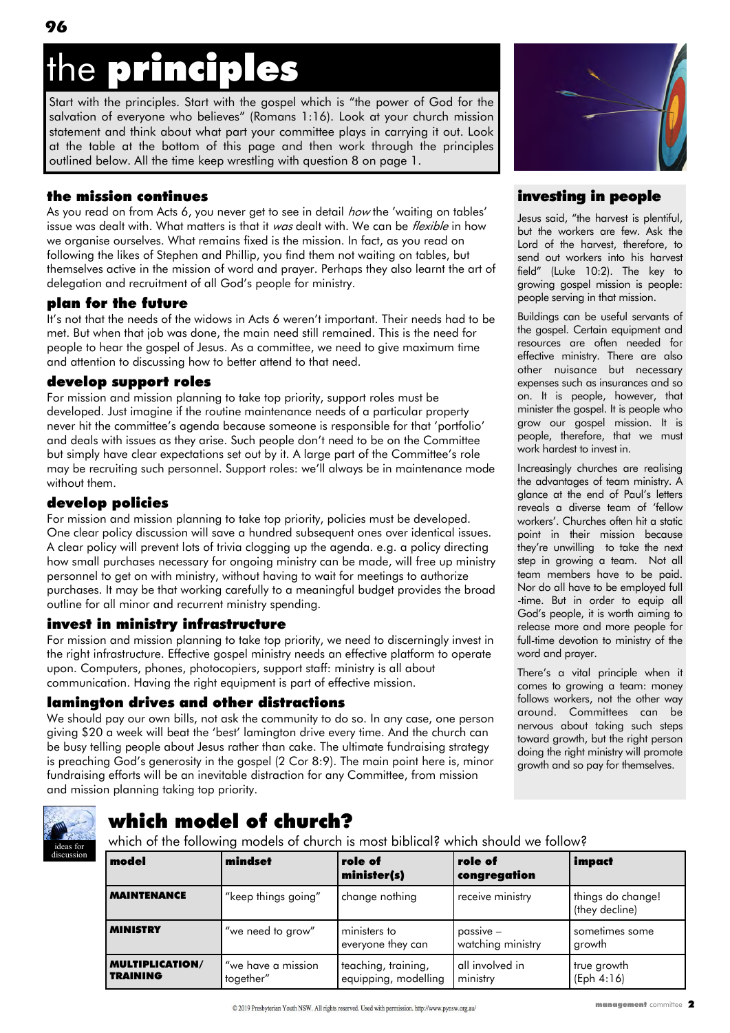# oringin es

Start with the principles. Start with the gospel which is "the power of God for the salvation of everyone who believes" (Romans 1:16). Look at your church mission statement and think about what part your committee plays in carrying it out. Look at the table at the bottom of this page and then work through the principles outlined below. All the time keep wrestling with question 8 on page 1.

### the mission continues

**96**

As you read on from Acts 6, you never get to see in detail *how* the 'waiting on tables' issue was dealt with. What matters is that it was dealt with. We can be *flexible* in how we organise ourselves. What remains fixed is the mission. In fact, as you read on following the likes of Stephen and Phillip, you find them not waiting on tables, but themselves active in the mission of word and prayer. Perhaps they also learnt the art of delegation and recruitment of all God"s people for ministry.

### plan for the future

It's not that the needs of the widows in Acts 6 weren't important. Their needs had to be met. But when that job was done, the main need still remained. This is the need for people to hear the gospel of Jesus. As a committee, we need to give maximum time and attention to discussing how to better attend to that need.

### develop support roles

For mission and mission planning to take top priority, support roles must be developed. Just imagine if the routine maintenance needs of a particular property never hit the committee"s agenda because someone is responsible for that "portfolio" and deals with issues as they arise. Such people don"t need to be on the Committee but simply have clear expectations set out by it. A large part of the Committee"s role may be recruiting such personnel. Support roles: we"ll always be in maintenance mode without them.

### develop policies

For mission and mission planning to take top priority, policies must be developed. One clear policy discussion will save a hundred subsequent ones over identical issues. A clear policy will prevent lots of trivia clogging up the agenda. e.g. a policy directing how small purchases necessary for ongoing ministry can be made, will free up ministry personnel to get on with ministry, without having to wait for meetings to authorize purchases. It may be that working carefully to a meaningful budget provides the broad outline for all minor and recurrent ministry spending.

### invest in ministry infrastructure

For mission and mission planning to take top priority, we need to discerningly invest in the right infrastructure. Effective gospel ministry needs an effective platform to operate upon. Computers, phones, photocopiers, support staff: ministry is all about communication. Having the right equipment is part of effective mission.

### lamington drives and other distractions

We should pay our own bills, not ask the community to do so. In any case, one person giving \$20 a week will beat the "best" lamington drive every time. And the church can be busy telling people about Jesus rather than cake. The ultimate fundraising strategy is preaching God"s generosity in the gospel (2 Cor 8:9). The main point here is, minor fundraising efforts will be an inevitable distraction for any Committee, from mission and mission planning taking top priority.



### investing in people

Jesus said, "the harvest is plentiful, but the workers are few. Ask the Lord of the harvest, therefore, to send out workers into his harvest field" (Luke 10:2). The key to growing gospel mission is people: people serving in that mission.

Buildings can be useful servants of the gospel. Certain equipment and resources are often needed for effective ministry. There are also other nuisance but necessary expenses such as insurances and so on. It is people, however, that minister the gospel. It is people who grow our gospel mission. It is people, therefore, that we must work hardest to invest in.

Increasingly churches are realising the advantages of team ministry. A glance at the end of Paul"s letters reveals a diverse team of "fellow workers". Churches often hit a static point in their mission because they"re unwilling to take the next step in growing a team. Not all team members have to be paid. Nor do all have to be employed full -time. But in order to equip all God"s people, it is worth aiming to release more and more people for full-time devotion to ministry of the word and prayer.

There's a vital principle when it comes to growing a team: money follows workers, not the other way around. Committees can be nervous about taking such steps toward growth, but the right person doing the right ministry will promote growth and so pay for themselves.



# which model of church?

which of the following models of church is most biblical? which should we follow?

| model                                     | mindset                         | role of<br>minister(s)                      | role of<br>congregation          | impact                              |
|-------------------------------------------|---------------------------------|---------------------------------------------|----------------------------------|-------------------------------------|
| <b>MAINTENANCE</b>                        | "keep things going"             | change nothing                              | receive ministry                 | things do change!<br>(they decline) |
| <b>MINISTRY</b>                           | "we need to grow"               | ministers to<br>everyone they can           | $passive -$<br>watching ministry | sometimes some<br>growth            |
| <b>MULTIPLICATION/</b><br><b>TRAINING</b> | "we have a mission<br>together" | teaching, training,<br>equipping, modelling | all involved in<br>ministry      | true growth<br>(Eph 4:16)           |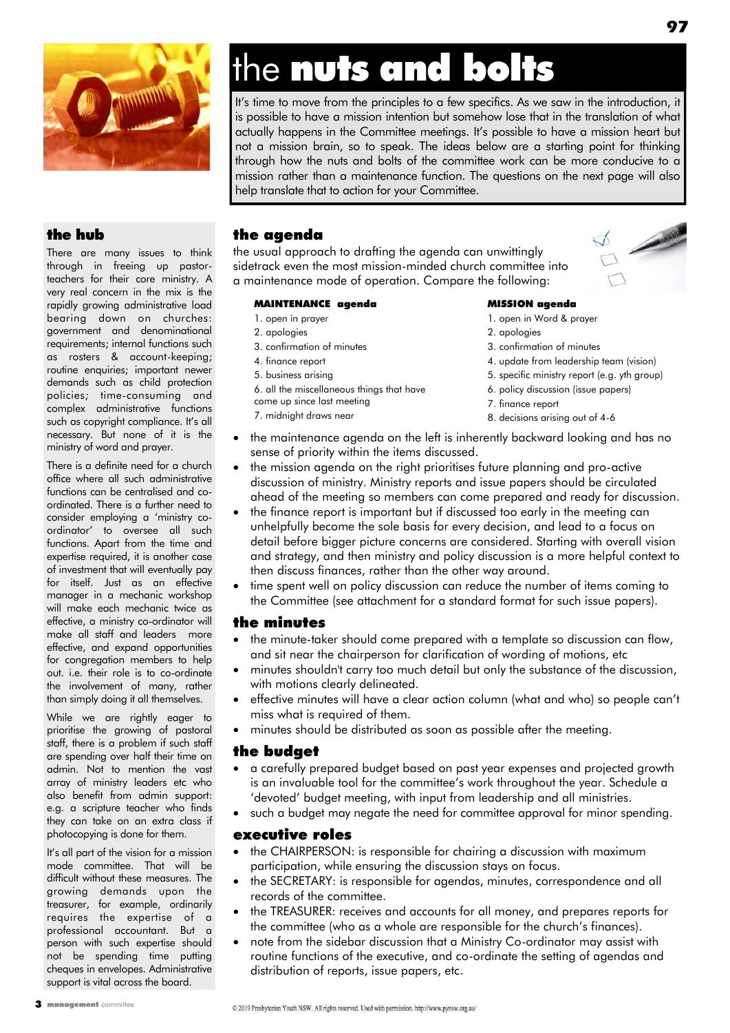

# the nuts and bolts

It's time to move from the principles to a few specifics. As we saw in the introduction, it is possible to have a mission intention but somehow lose that in the translation of what actually happens in the Committee meetings. It's possible to have a mission heart but not a mission brain, so to speak. The ideas below are a starting point for thinking through how the nuts and bolts of the committee work can be more conducive to a mission rather than a maintenance function. The questions on the next page will also help translate that to action for your Committee.

## the hub

There are many issues to think through in freeing up pastorteachers for their core ministry. A very real concern in the mix is the rapidly growing administrative load bearing down on churches: government and denominational requirements; internal functions such as rosters & account-keeping; routine enquiries; important newer demands such as child protection policies; time-consuming and complex administrative functions such as copyright compliance. It's all necessary. But none of it is the ministry of word and prayer.

There is a definite need for a church office where all such administrative functions can be centralised and coordinated. There is a further need to consider employing a "ministry coordinator" to oversee all such functions. Apart from the time and expertise required, it is another case of investment that will eventually pay for itself. Just as an effective manager in a mechanic workshop will make each mechanic twice as effective, a ministry co-ordinator will make all staff and leaders more effective, and expand opportunities for congregation members to help out. i.e. their role is to co-ordinate the involvement of many, rather than simply doing it all themselves.

While we are rightly eager to prioritise the growing of pastoral staff, there is a problem if such staff are spending over half their time on admin. Not to mention the vast array of ministry leaders etc who also benefit from admin support: e.g. a scripture teacher who finds they can take on an extra class if photocopying is done for them.

It's all part of the vision for a mission mode committee. That will be difficult without these measures. The growing demands upon the treasurer, for example, ordinarily requires the expertise of a professional accountant. But a person with such expertise should not be spending time putting cheques in envelopes. Administrative support is vital across the board.

3 management committee

# the agenda

the usual approach to drafting the agenda can unwittingly sidetrack even the most mission-minded church committee into a maintenance mode of operation. Compare the following:

### MAINTENANCE agenda

- 1. open in prayer
- 2. apologies
- 3. confirmation of minutes
- 4. finance report
- 5. business arising
- 6. all the miscellaneous things that have
- come up since last meeting
- 7. midnight draws near

#### MISSION agenda

- 1. open in Word & prayer
- 2. apologies
- 3. confirmation of minutes
- 4. update from leadership team (vision)
- 5. specific ministry report (e.g. yth group)
- 6. policy discussion (issue papers)
- 7. finance report
- 8. decisions arising out of 4-6
- the maintenance agenda on the left is inherently backward looking and has no sense of priority within the items discussed.
- the mission agenda on the right prioritises future planning and pro-active discussion of ministry. Ministry reports and issue papers should be circulated ahead of the meeting so members can come prepared and ready for discussion.
- the finance report is important but if discussed too early in the meeting can unhelpfully become the sole basis for every decision, and lead to a focus on detail before bigger picture concerns are considered. Starting with overall vision and strategy, and then ministry and policy discussion is a more helpful context to then discuss finances, rather than the other way around.
- time spent well on policy discussion can reduce the number of items coming to the Committee (see attachment for a standard format for such issue papers).

### the minutes

- the minute-taker should come prepared with a template so discussion can flow, and sit near the chairperson for clarification of wording of motions, etc
- minutes shouldn't carry too much detail but only the substance of the discussion, with motions clearly delineated.
	- effective minutes will have a clear action column (what and who) so people can't miss what is required of them.
	- minutes should be distributed as soon as possible after the meeting.

### the budget

- a carefully prepared budget based on past year expenses and projected growth is an invaluable tool for the committee's work throughout the year. Schedule a "devoted" budget meeting, with input from leadership and all ministries.
- such a budget may negate the need for committee approval for minor spending.

### executive roles

- the CHAIRPERSON: is responsible for chairing a discussion with maximum participation, while ensuring the discussion stays on focus.
- the SECRETARY: is responsible for agendas, minutes, correspondence and all records of the committee.
- the TREASURER: receives and accounts for all money, and prepares reports for the committee (who as a whole are responsible for the church's finances).
- note from the sidebar discussion that a Ministry Co-ordinator may assist with routine functions of the executive, and co-ordinate the setting of agendas and distribution of reports, issue papers, etc.